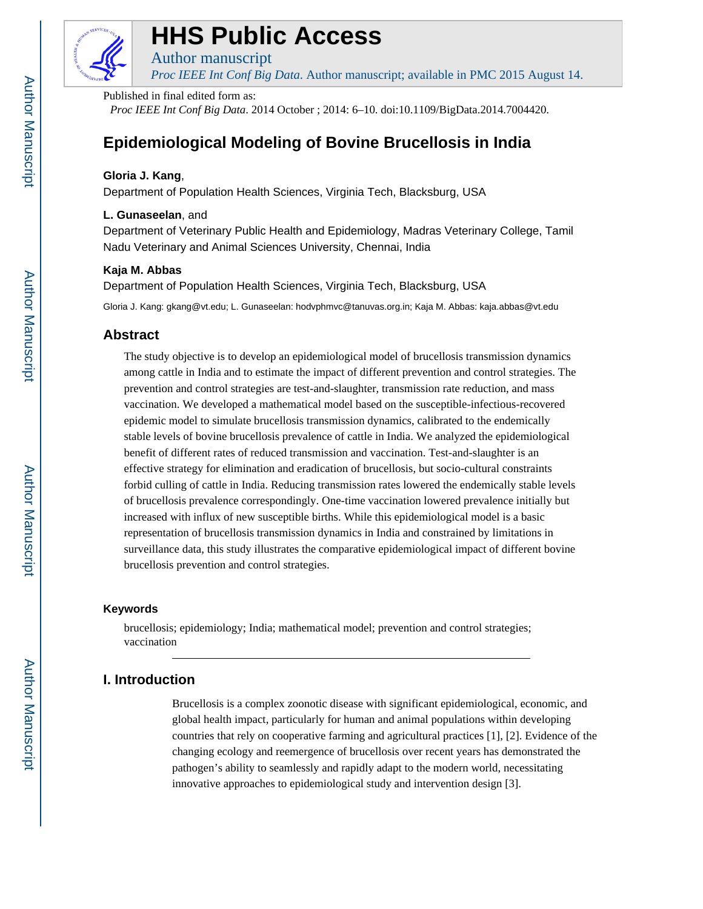

# **HHS Public Access**

Author manuscript *Proc IEEE Int Conf Big Data*. Author manuscript; available in PMC 2015 August 14.

Published in final edited form as:

*Proc IEEE Int Conf Big Data*. 2014 October ; 2014: 6–10. doi:10.1109/BigData.2014.7004420.

# **Epidemiological Modeling of Bovine Brucellosis in India**

# **Gloria J. Kang**,

Department of Population Health Sciences, Virginia Tech, Blacksburg, USA

# **L. Gunaseelan**, and

Department of Veterinary Public Health and Epidemiology, Madras Veterinary College, Tamil Nadu Veterinary and Animal Sciences University, Chennai, India

# **Kaja M. Abbas**

Department of Population Health Sciences, Virginia Tech, Blacksburg, USA

Gloria J. Kang: gkang@vt.edu; L. Gunaseelan: hodvphmvc@tanuvas.org.in; Kaja M. Abbas: kaja.abbas@vt.edu

# **Abstract**

The study objective is to develop an epidemiological model of brucellosis transmission dynamics among cattle in India and to estimate the impact of different prevention and control strategies. The prevention and control strategies are test-and-slaughter, transmission rate reduction, and mass vaccination. We developed a mathematical model based on the susceptible-infectious-recovered epidemic model to simulate brucellosis transmission dynamics, calibrated to the endemically stable levels of bovine brucellosis prevalence of cattle in India. We analyzed the epidemiological benefit of different rates of reduced transmission and vaccination. Test-and-slaughter is an effective strategy for elimination and eradication of brucellosis, but socio-cultural constraints forbid culling of cattle in India. Reducing transmission rates lowered the endemically stable levels of brucellosis prevalence correspondingly. One-time vaccination lowered prevalence initially but increased with influx of new susceptible births. While this epidemiological model is a basic representation of brucellosis transmission dynamics in India and constrained by limitations in surveillance data, this study illustrates the comparative epidemiological impact of different bovine brucellosis prevention and control strategies.

# **Keywords**

brucellosis; epidemiology; India; mathematical model; prevention and control strategies; vaccination

# **I. Introduction**

Brucellosis is a complex zoonotic disease with significant epidemiological, economic, and global health impact, particularly for human and animal populations within developing countries that rely on cooperative farming and agricultural practices [1], [2]. Evidence of the changing ecology and reemergence of brucellosis over recent years has demonstrated the pathogen's ability to seamlessly and rapidly adapt to the modern world, necessitating innovative approaches to epidemiological study and intervention design [3].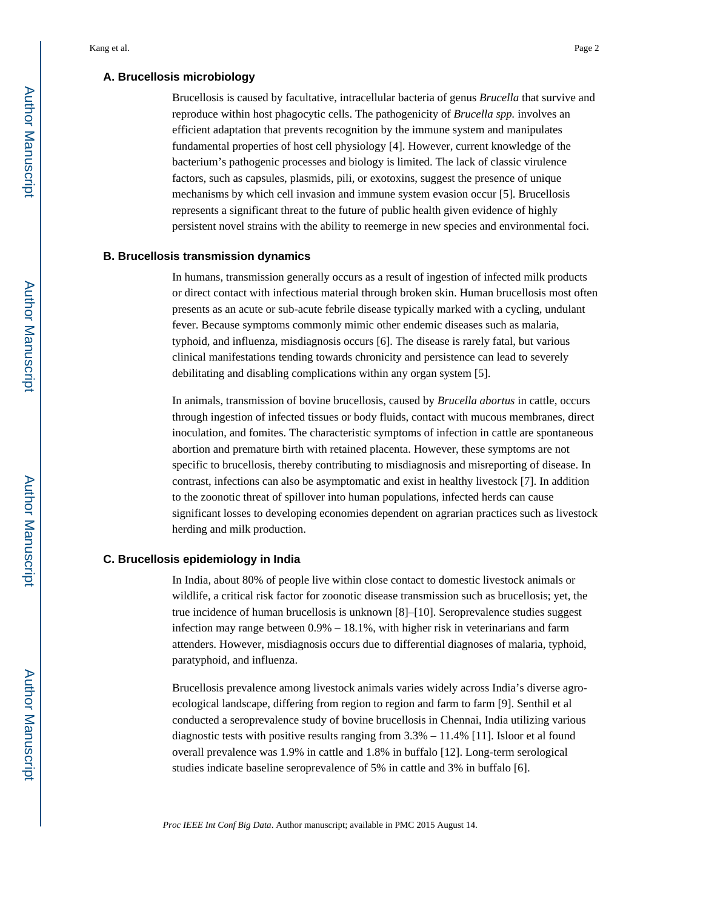#### **A. Brucellosis microbiology**

Brucellosis is caused by facultative, intracellular bacteria of genus *Brucella* that survive and reproduce within host phagocytic cells. The pathogenicity of *Brucella spp.* involves an efficient adaptation that prevents recognition by the immune system and manipulates fundamental properties of host cell physiology [4]. However, current knowledge of the bacterium's pathogenic processes and biology is limited. The lack of classic virulence factors, such as capsules, plasmids, pili, or exotoxins, suggest the presence of unique mechanisms by which cell invasion and immune system evasion occur [5]. Brucellosis represents a significant threat to the future of public health given evidence of highly persistent novel strains with the ability to reemerge in new species and environmental foci.

#### **B. Brucellosis transmission dynamics**

In humans, transmission generally occurs as a result of ingestion of infected milk products or direct contact with infectious material through broken skin. Human brucellosis most often presents as an acute or sub-acute febrile disease typically marked with a cycling, undulant fever. Because symptoms commonly mimic other endemic diseases such as malaria, typhoid, and influenza, misdiagnosis occurs [6]. The disease is rarely fatal, but various clinical manifestations tending towards chronicity and persistence can lead to severely debilitating and disabling complications within any organ system [5].

In animals, transmission of bovine brucellosis, caused by *Brucella abortus* in cattle, occurs through ingestion of infected tissues or body fluids, contact with mucous membranes, direct inoculation, and fomites. The characteristic symptoms of infection in cattle are spontaneous abortion and premature birth with retained placenta. However, these symptoms are not specific to brucellosis, thereby contributing to misdiagnosis and misreporting of disease. In contrast, infections can also be asymptomatic and exist in healthy livestock [7]. In addition to the zoonotic threat of spillover into human populations, infected herds can cause significant losses to developing economies dependent on agrarian practices such as livestock herding and milk production.

#### **C. Brucellosis epidemiology in India**

In India, about 80% of people live within close contact to domestic livestock animals or wildlife, a critical risk factor for zoonotic disease transmission such as brucellosis; yet, the true incidence of human brucellosis is unknown [8]–[10]. Seroprevalence studies suggest infection may range between 0.9% – 18.1%, with higher risk in veterinarians and farm attenders. However, misdiagnosis occurs due to differential diagnoses of malaria, typhoid, paratyphoid, and influenza.

Brucellosis prevalence among livestock animals varies widely across India's diverse agroecological landscape, differing from region to region and farm to farm [9]. Senthil et al conducted a seroprevalence study of bovine brucellosis in Chennai, India utilizing various diagnostic tests with positive results ranging from  $3.3\% - 11.4\%$  [11]. Isloor et al found overall prevalence was 1.9% in cattle and 1.8% in buffalo [12]. Long-term serological studies indicate baseline seroprevalence of 5% in cattle and 3% in buffalo [6].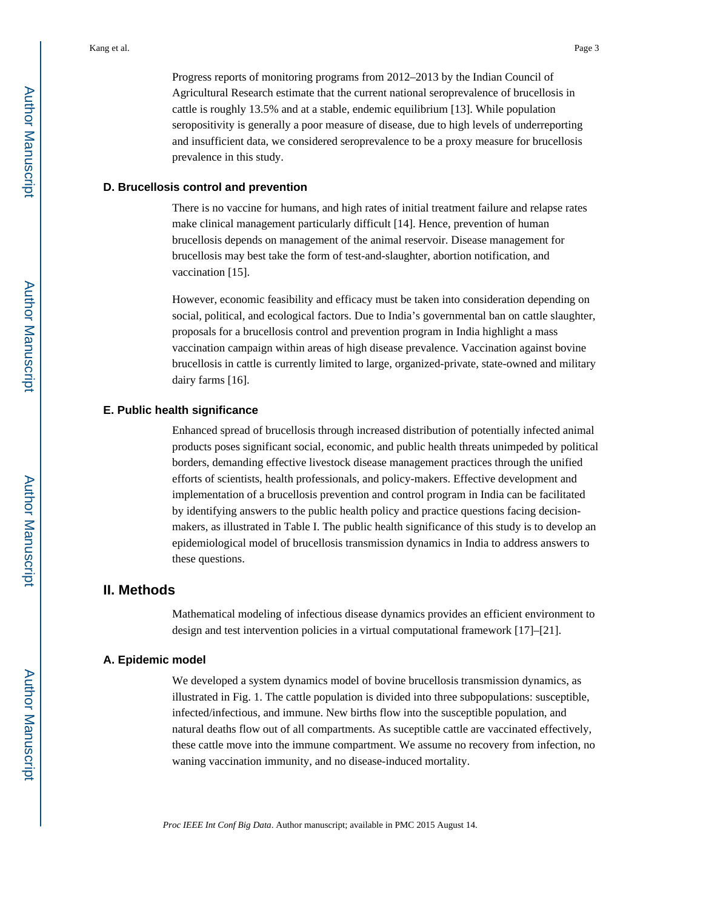Progress reports of monitoring programs from 2012–2013 by the Indian Council of Agricultural Research estimate that the current national seroprevalence of brucellosis in cattle is roughly 13.5% and at a stable, endemic equilibrium [13]. While population seropositivity is generally a poor measure of disease, due to high levels of underreporting and insufficient data, we considered seroprevalence to be a proxy measure for brucellosis prevalence in this study.

#### **D. Brucellosis control and prevention**

There is no vaccine for humans, and high rates of initial treatment failure and relapse rates make clinical management particularly difficult [14]. Hence, prevention of human brucellosis depends on management of the animal reservoir. Disease management for brucellosis may best take the form of test-and-slaughter, abortion notification, and vaccination [15].

However, economic feasibility and efficacy must be taken into consideration depending on social, political, and ecological factors. Due to India's governmental ban on cattle slaughter, proposals for a brucellosis control and prevention program in India highlight a mass vaccination campaign within areas of high disease prevalence. Vaccination against bovine brucellosis in cattle is currently limited to large, organized-private, state-owned and military dairy farms [16].

#### **E. Public health significance**

Enhanced spread of brucellosis through increased distribution of potentially infected animal products poses significant social, economic, and public health threats unimpeded by political borders, demanding effective livestock disease management practices through the unified efforts of scientists, health professionals, and policy-makers. Effective development and implementation of a brucellosis prevention and control program in India can be facilitated by identifying answers to the public health policy and practice questions facing decisionmakers, as illustrated in Table I. The public health significance of this study is to develop an epidemiological model of brucellosis transmission dynamics in India to address answers to these questions.

# **II. Methods**

Mathematical modeling of infectious disease dynamics provides an efficient environment to design and test intervention policies in a virtual computational framework [17]–[21].

#### **A. Epidemic model**

We developed a system dynamics model of bovine brucellosis transmission dynamics, as illustrated in Fig. 1. The cattle population is divided into three subpopulations: susceptible, infected/infectious, and immune. New births flow into the susceptible population, and natural deaths flow out of all compartments. As suceptible cattle are vaccinated effectively, these cattle move into the immune compartment. We assume no recovery from infection, no waning vaccination immunity, and no disease-induced mortality.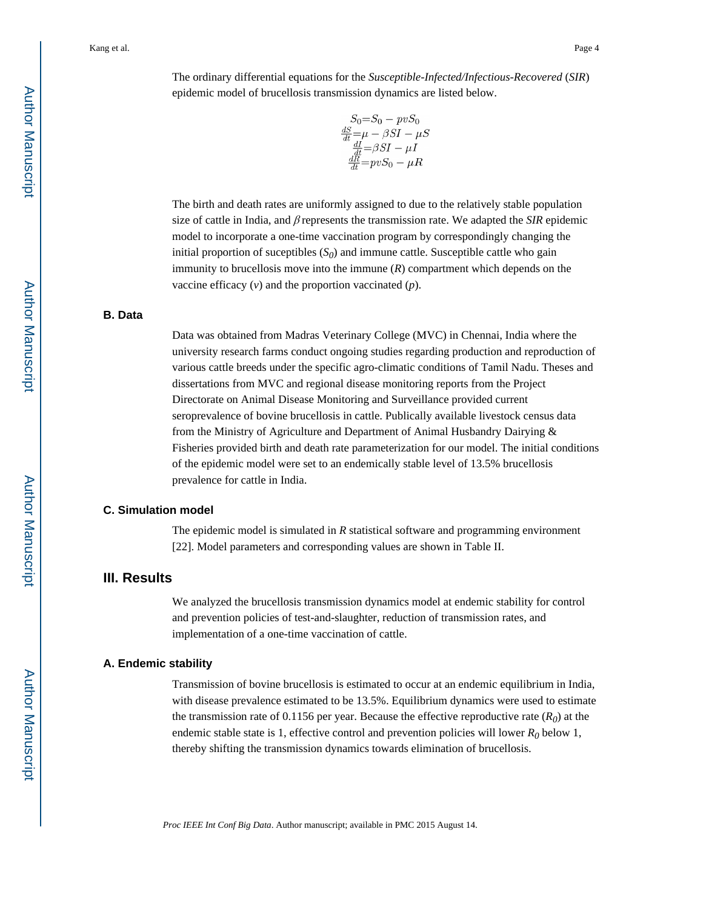The ordinary differential equations for the *Susceptible-Infected/Infectious-Recovered* (*SIR*) epidemic model of brucellosis transmission dynamics are listed below.

$$
S_0=S_0-pvS_0
$$
  
\n
$$
\frac{dS}{dt}=\mu-\beta SI-\mu S
$$
  
\n
$$
\frac{dI}{dt}=\beta SI-\mu I
$$
  
\n
$$
\frac{dR}{dt}=pvS_0-\mu R
$$

The birth and death rates are uniformly assigned to due to the relatively stable population size of cattle in India, and β represents the transmission rate. We adapted the *SIR* epidemic model to incorporate a one-time vaccination program by correspondingly changing the initial proportion of suceptibles  $(S_0)$  and immune cattle. Susceptible cattle who gain immunity to brucellosis move into the immune (*R*) compartment which depends on the vaccine efficacy (*v*) and the proportion vaccinated (*p*).

#### **B. Data**

Data was obtained from Madras Veterinary College (MVC) in Chennai, India where the university research farms conduct ongoing studies regarding production and reproduction of various cattle breeds under the specific agro-climatic conditions of Tamil Nadu. Theses and dissertations from MVC and regional disease monitoring reports from the Project Directorate on Animal Disease Monitoring and Surveillance provided current seroprevalence of bovine brucellosis in cattle. Publically available livestock census data from the Ministry of Agriculture and Department of Animal Husbandry Dairying & Fisheries provided birth and death rate parameterization for our model. The initial conditions of the epidemic model were set to an endemically stable level of 13.5% brucellosis prevalence for cattle in India.

#### **C. Simulation model**

The epidemic model is simulated in *R* statistical software and programming environment [22]. Model parameters and corresponding values are shown in Table II.

# **III. Results**

We analyzed the brucellosis transmission dynamics model at endemic stability for control and prevention policies of test-and-slaughter, reduction of transmission rates, and implementation of a one-time vaccination of cattle.

#### **A. Endemic stability**

Transmission of bovine brucellosis is estimated to occur at an endemic equilibrium in India, with disease prevalence estimated to be 13.5%. Equilibrium dynamics were used to estimate the transmission rate of 0.1156 per year. Because the effective reproductive rate  $(R<sub>0</sub>)$  at the endemic stable state is 1, effective control and prevention policies will lower  $R_0$  below 1, thereby shifting the transmission dynamics towards elimination of brucellosis.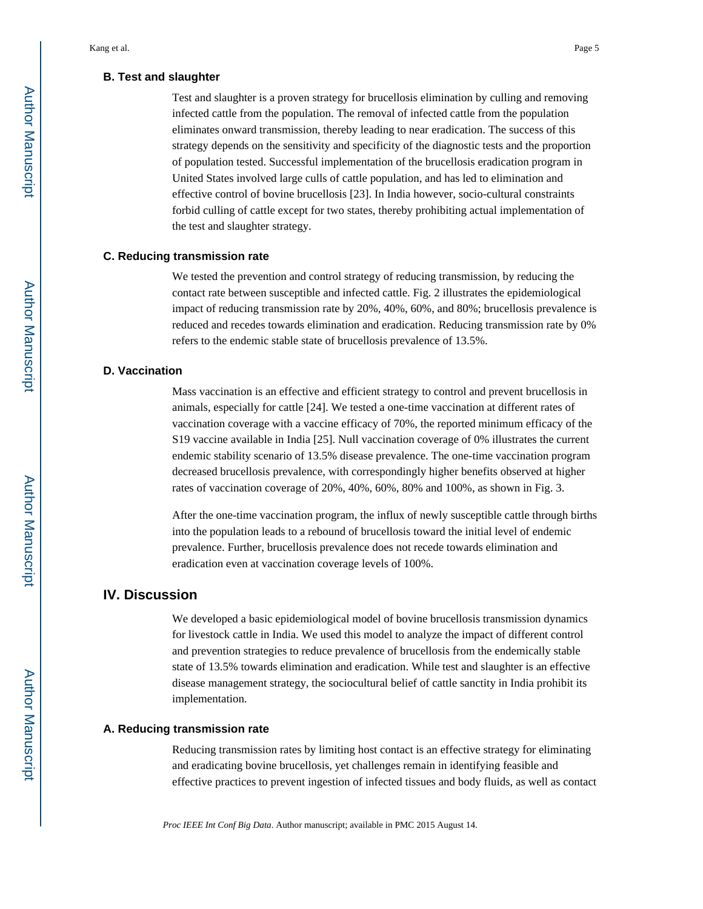#### **B. Test and slaughter**

Test and slaughter is a proven strategy for brucellosis elimination by culling and removing infected cattle from the population. The removal of infected cattle from the population eliminates onward transmission, thereby leading to near eradication. The success of this strategy depends on the sensitivity and specificity of the diagnostic tests and the proportion of population tested. Successful implementation of the brucellosis eradication program in United States involved large culls of cattle population, and has led to elimination and effective control of bovine brucellosis [23]. In India however, socio-cultural constraints forbid culling of cattle except for two states, thereby prohibiting actual implementation of the test and slaughter strategy.

#### **C. Reducing transmission rate**

We tested the prevention and control strategy of reducing transmission, by reducing the contact rate between susceptible and infected cattle. Fig. 2 illustrates the epidemiological impact of reducing transmission rate by 20%, 40%, 60%, and 80%; brucellosis prevalence is reduced and recedes towards elimination and eradication. Reducing transmission rate by 0% refers to the endemic stable state of brucellosis prevalence of 13.5%.

#### **D. Vaccination**

Mass vaccination is an effective and efficient strategy to control and prevent brucellosis in animals, especially for cattle [24]. We tested a one-time vaccination at different rates of vaccination coverage with a vaccine efficacy of 70%, the reported minimum efficacy of the S19 vaccine available in India [25]. Null vaccination coverage of 0% illustrates the current endemic stability scenario of 13.5% disease prevalence. The one-time vaccination program decreased brucellosis prevalence, with correspondingly higher benefits observed at higher rates of vaccination coverage of 20%, 40%, 60%, 80% and 100%, as shown in Fig. 3.

After the one-time vaccination program, the influx of newly susceptible cattle through births into the population leads to a rebound of brucellosis toward the initial level of endemic prevalence. Further, brucellosis prevalence does not recede towards elimination and eradication even at vaccination coverage levels of 100%.

# **IV. Discussion**

We developed a basic epidemiological model of bovine brucellosis transmission dynamics for livestock cattle in India. We used this model to analyze the impact of different control and prevention strategies to reduce prevalence of brucellosis from the endemically stable state of 13.5% towards elimination and eradication. While test and slaughter is an effective disease management strategy, the sociocultural belief of cattle sanctity in India prohibit its implementation.

#### **A. Reducing transmission rate**

Reducing transmission rates by limiting host contact is an effective strategy for eliminating and eradicating bovine brucellosis, yet challenges remain in identifying feasible and effective practices to prevent ingestion of infected tissues and body fluids, as well as contact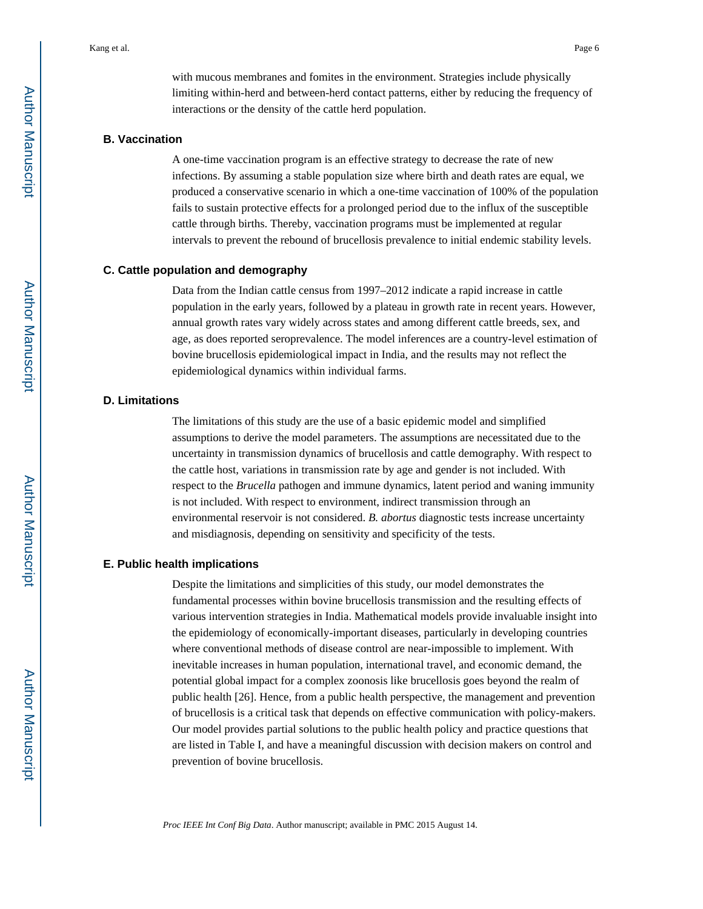with mucous membranes and fomites in the environment. Strategies include physically limiting within-herd and between-herd contact patterns, either by reducing the frequency of interactions or the density of the cattle herd population.

### **B. Vaccination**

A one-time vaccination program is an effective strategy to decrease the rate of new infections. By assuming a stable population size where birth and death rates are equal, we produced a conservative scenario in which a one-time vaccination of 100% of the population fails to sustain protective effects for a prolonged period due to the influx of the susceptible cattle through births. Thereby, vaccination programs must be implemented at regular intervals to prevent the rebound of brucellosis prevalence to initial endemic stability levels.

#### **C. Cattle population and demography**

Data from the Indian cattle census from 1997–2012 indicate a rapid increase in cattle population in the early years, followed by a plateau in growth rate in recent years. However, annual growth rates vary widely across states and among different cattle breeds, sex, and age, as does reported seroprevalence. The model inferences are a country-level estimation of bovine brucellosis epidemiological impact in India, and the results may not reflect the epidemiological dynamics within individual farms.

#### **D. Limitations**

The limitations of this study are the use of a basic epidemic model and simplified assumptions to derive the model parameters. The assumptions are necessitated due to the uncertainty in transmission dynamics of brucellosis and cattle demography. With respect to the cattle host, variations in transmission rate by age and gender is not included. With respect to the *Brucella* pathogen and immune dynamics, latent period and waning immunity is not included. With respect to environment, indirect transmission through an environmental reservoir is not considered. *B. abortus* diagnostic tests increase uncertainty and misdiagnosis, depending on sensitivity and specificity of the tests.

#### **E. Public health implications**

Despite the limitations and simplicities of this study, our model demonstrates the fundamental processes within bovine brucellosis transmission and the resulting effects of various intervention strategies in India. Mathematical models provide invaluable insight into the epidemiology of economically-important diseases, particularly in developing countries where conventional methods of disease control are near-impossible to implement. With inevitable increases in human population, international travel, and economic demand, the potential global impact for a complex zoonosis like brucellosis goes beyond the realm of public health [26]. Hence, from a public health perspective, the management and prevention of brucellosis is a critical task that depends on effective communication with policy-makers. Our model provides partial solutions to the public health policy and practice questions that are listed in Table I, and have a meaningful discussion with decision makers on control and prevention of bovine brucellosis.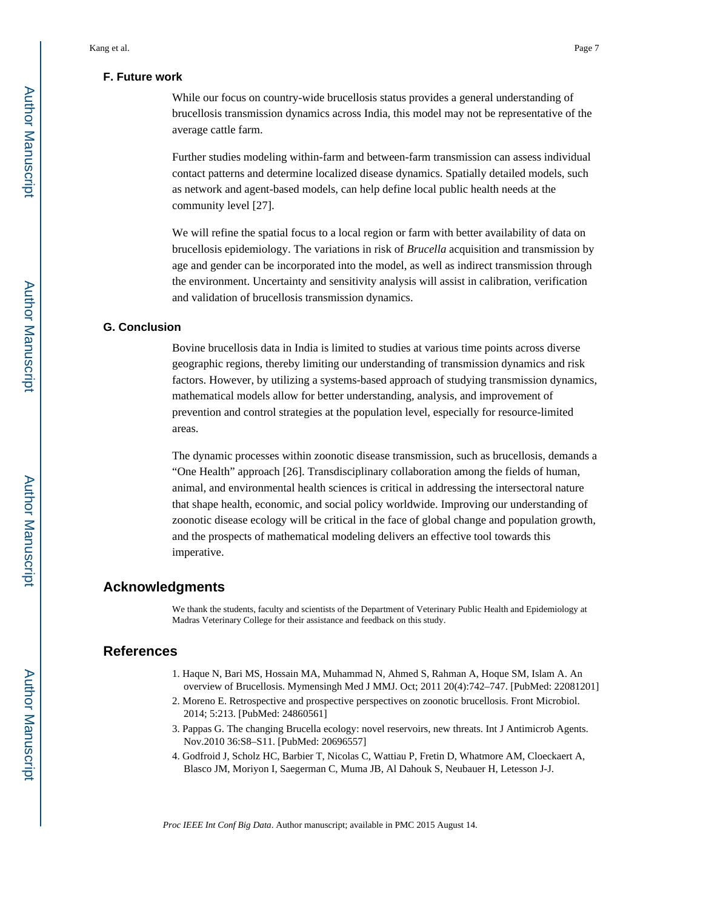#### **F. Future work**

While our focus on country-wide brucellosis status provides a general understanding of brucellosis transmission dynamics across India, this model may not be representative of the average cattle farm.

Further studies modeling within-farm and between-farm transmission can assess individual contact patterns and determine localized disease dynamics. Spatially detailed models, such as network and agent-based models, can help define local public health needs at the community level [27].

We will refine the spatial focus to a local region or farm with better availability of data on brucellosis epidemiology. The variations in risk of *Brucella* acquisition and transmission by age and gender can be incorporated into the model, as well as indirect transmission through the environment. Uncertainty and sensitivity analysis will assist in calibration, verification and validation of brucellosis transmission dynamics.

#### **G. Conclusion**

Bovine brucellosis data in India is limited to studies at various time points across diverse geographic regions, thereby limiting our understanding of transmission dynamics and risk factors. However, by utilizing a systems-based approach of studying transmission dynamics, mathematical models allow for better understanding, analysis, and improvement of prevention and control strategies at the population level, especially for resource-limited areas.

The dynamic processes within zoonotic disease transmission, such as brucellosis, demands a "One Health" approach [26]. Transdisciplinary collaboration among the fields of human, animal, and environmental health sciences is critical in addressing the intersectoral nature that shape health, economic, and social policy worldwide. Improving our understanding of zoonotic disease ecology will be critical in the face of global change and population growth, and the prospects of mathematical modeling delivers an effective tool towards this imperative.

# **Acknowledgments**

We thank the students, faculty and scientists of the Department of Veterinary Public Health and Epidemiology at Madras Veterinary College for their assistance and feedback on this study.

# **References**

- 1. Haque N, Bari MS, Hossain MA, Muhammad N, Ahmed S, Rahman A, Hoque SM, Islam A. An overview of Brucellosis. Mymensingh Med J MMJ. Oct; 2011 20(4):742–747. [PubMed: 22081201]
- 2. Moreno E. Retrospective and prospective perspectives on zoonotic brucellosis. Front Microbiol. 2014; 5:213. [PubMed: 24860561]
- 3. Pappas G. The changing Brucella ecology: novel reservoirs, new threats. Int J Antimicrob Agents. Nov.2010 36:S8–S11. [PubMed: 20696557]
- 4. Godfroid J, Scholz HC, Barbier T, Nicolas C, Wattiau P, Fretin D, Whatmore AM, Cloeckaert A, Blasco JM, Moriyon I, Saegerman C, Muma JB, Al Dahouk S, Neubauer H, Letesson J-J.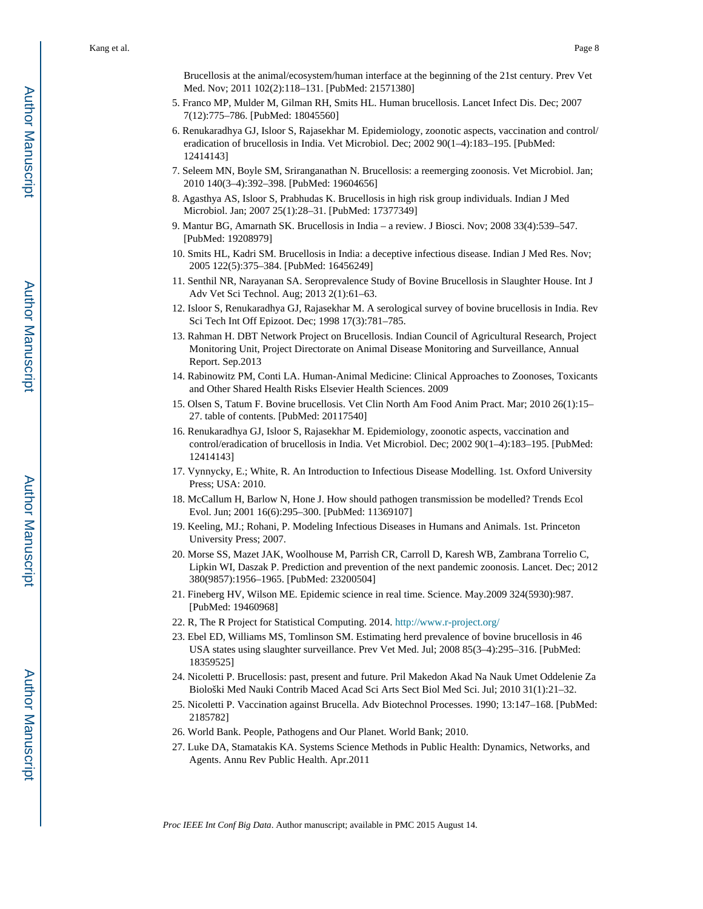Brucellosis at the animal/ecosystem/human interface at the beginning of the 21st century. Prev Vet Med. Nov; 2011 102(2):118–131. [PubMed: 21571380]

- 5. Franco MP, Mulder M, Gilman RH, Smits HL. Human brucellosis. Lancet Infect Dis. Dec; 2007 7(12):775–786. [PubMed: 18045560]
- 6. Renukaradhya GJ, Isloor S, Rajasekhar M. Epidemiology, zoonotic aspects, vaccination and control/ eradication of brucellosis in India. Vet Microbiol. Dec; 2002 90(1–4):183–195. [PubMed: 12414143]
- 7. Seleem MN, Boyle SM, Sriranganathan N. Brucellosis: a reemerging zoonosis. Vet Microbiol. Jan; 2010 140(3–4):392–398. [PubMed: 19604656]
- 8. Agasthya AS, Isloor S, Prabhudas K. Brucellosis in high risk group individuals. Indian J Med Microbiol. Jan; 2007 25(1):28–31. [PubMed: 17377349]
- 9. Mantur BG, Amarnath SK. Brucellosis in India a review. J Biosci. Nov; 2008 33(4):539–547. [PubMed: 19208979]
- 10. Smits HL, Kadri SM. Brucellosis in India: a deceptive infectious disease. Indian J Med Res. Nov; 2005 122(5):375–384. [PubMed: 16456249]
- 11. Senthil NR, Narayanan SA. Seroprevalence Study of Bovine Brucellosis in Slaughter House. Int J Adv Vet Sci Technol. Aug; 2013 2(1):61–63.
- 12. Isloor S, Renukaradhya GJ, Rajasekhar M. A serological survey of bovine brucellosis in India. Rev Sci Tech Int Off Epizoot. Dec; 1998 17(3):781–785.
- 13. Rahman H. DBT Network Project on Brucellosis. Indian Council of Agricultural Research, Project Monitoring Unit, Project Directorate on Animal Disease Monitoring and Surveillance, Annual Report. Sep.2013
- 14. Rabinowitz PM, Conti LA. Human-Animal Medicine: Clinical Approaches to Zoonoses, Toxicants and Other Shared Health Risks Elsevier Health Sciences. 2009
- 15. Olsen S, Tatum F. Bovine brucellosis. Vet Clin North Am Food Anim Pract. Mar; 2010 26(1):15– 27. table of contents. [PubMed: 20117540]
- 16. Renukaradhya GJ, Isloor S, Rajasekhar M. Epidemiology, zoonotic aspects, vaccination and control/eradication of brucellosis in India. Vet Microbiol. Dec; 2002 90(1–4):183–195. [PubMed: 12414143]
- 17. Vynnycky, E.; White, R. An Introduction to Infectious Disease Modelling. 1st. Oxford University Press; USA: 2010.
- 18. McCallum H, Barlow N, Hone J. How should pathogen transmission be modelled? Trends Ecol Evol. Jun; 2001 16(6):295–300. [PubMed: 11369107]
- 19. Keeling, MJ.; Rohani, P. Modeling Infectious Diseases in Humans and Animals. 1st. Princeton University Press; 2007.
- 20. Morse SS, Mazet JAK, Woolhouse M, Parrish CR, Carroll D, Karesh WB, Zambrana Torrelio C, Lipkin WI, Daszak P. Prediction and prevention of the next pandemic zoonosis. Lancet. Dec; 2012 380(9857):1956–1965. [PubMed: 23200504]
- 21. Fineberg HV, Wilson ME. Epidemic science in real time. Science. May.2009 324(5930):987. [PubMed: 19460968]
- 22. R, The R Project for Statistical Computing. 2014.<http://www.r-project.org/>
- 23. Ebel ED, Williams MS, Tomlinson SM. Estimating herd prevalence of bovine brucellosis in 46 USA states using slaughter surveillance. Prev Vet Med. Jul; 2008 85(3–4):295–316. [PubMed: 18359525]
- 24. Nicoletti P. Brucellosis: past, present and future. Pril Makedon Akad Na Nauk Umet Oddelenie Za Biološki Med Nauki Contrib Maced Acad Sci Arts Sect Biol Med Sci. Jul; 2010 31(1):21–32.
- 25. Nicoletti P. Vaccination against Brucella. Adv Biotechnol Processes. 1990; 13:147–168. [PubMed: 2185782]
- 26. World Bank. People, Pathogens and Our Planet. World Bank; 2010.
- 27. Luke DA, Stamatakis KA. Systems Science Methods in Public Health: Dynamics, Networks, and Agents. Annu Rev Public Health. Apr.2011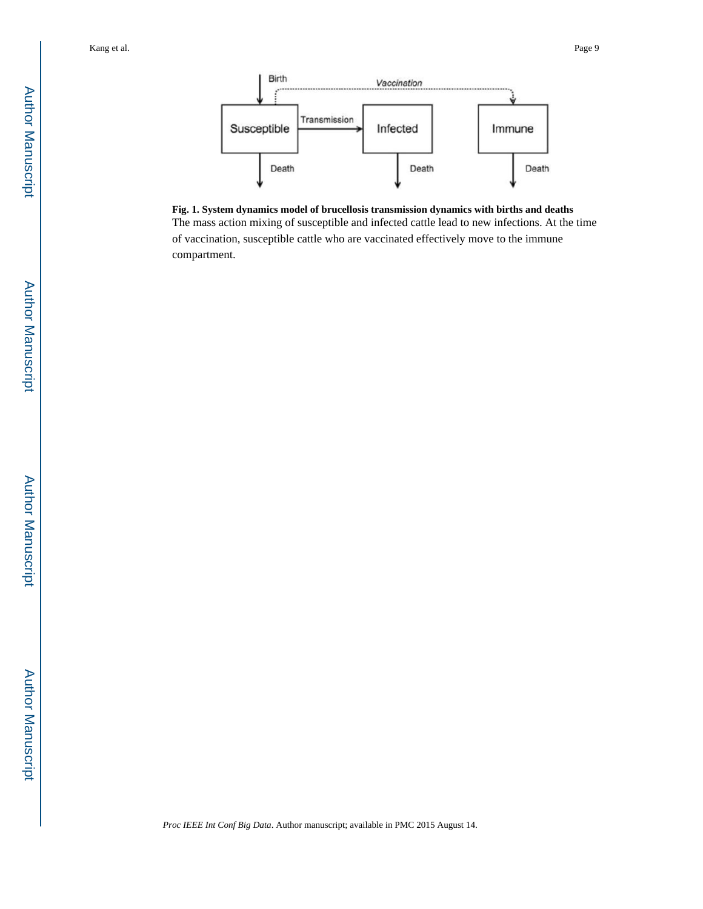

**Fig. 1. System dynamics model of brucellosis transmission dynamics with births and deaths** The mass action mixing of susceptible and infected cattle lead to new infections. At the time of vaccination, susceptible cattle who are vaccinated effectively move to the immune compartment.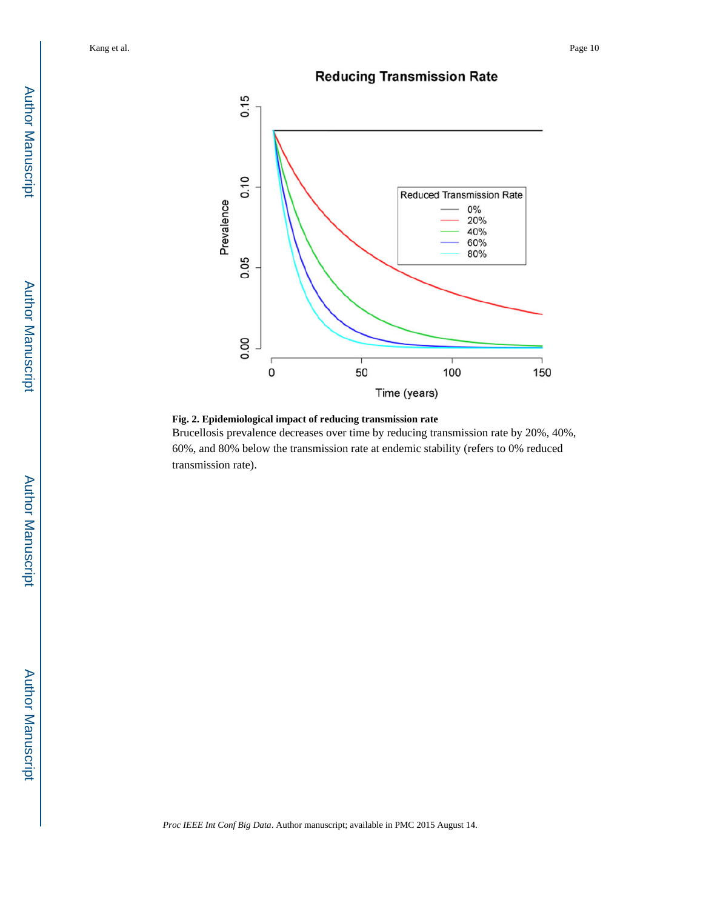# **Reducing Transmission Rate**





Brucellosis prevalence decreases over time by reducing transmission rate by 20%, 40%, 60%, and 80% below the transmission rate at endemic stability (refers to 0% reduced transmission rate).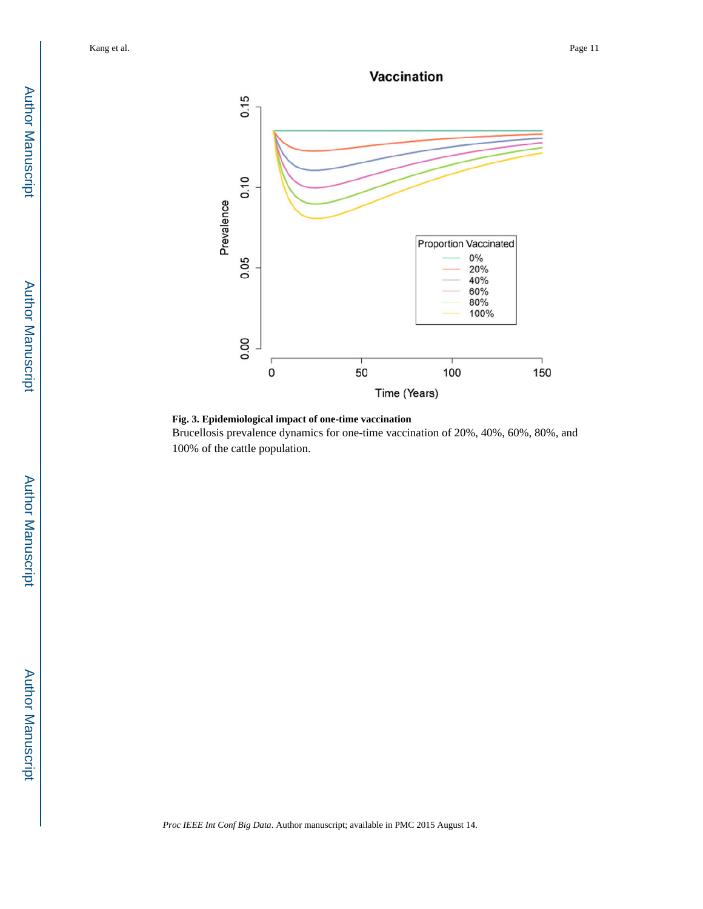



Vaccination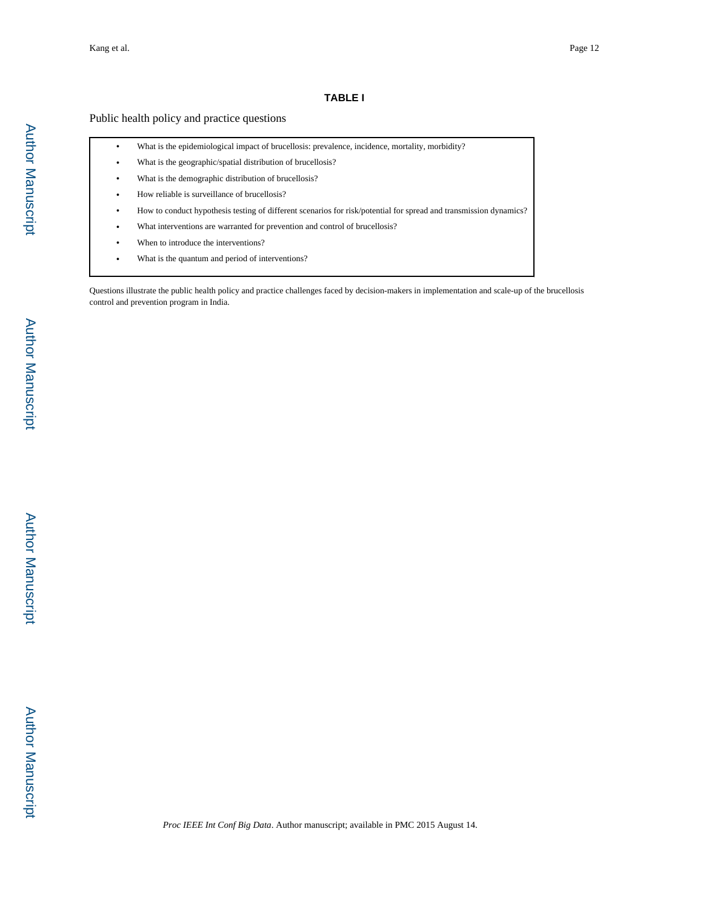# **TABLE I**

# Public health policy and practice questions

| ٠ | What is the epidemiological impact of brucellosis: prevalence, incidence, mortality, morbidity?                   |
|---|-------------------------------------------------------------------------------------------------------------------|
| ٠ | What is the geographic/spatial distribution of brucellosis?                                                       |
| ٠ | What is the demographic distribution of brucellosis?                                                              |
| ٠ | How reliable is surveillance of brucellosis?                                                                      |
| ٠ | How to conduct hypothesis testing of different scenarios for risk/potential for spread and transmission dynamics? |
| ٠ | What interventions are warranted for prevention and control of brucellosis?                                       |
| ٠ | When to introduce the interventions?                                                                              |
|   | What is the quantum and period of interventions?                                                                  |

Questions illustrate the public health policy and practice challenges faced by decision-makers in implementation and scale-up of the brucellosis control and prevention program in India.